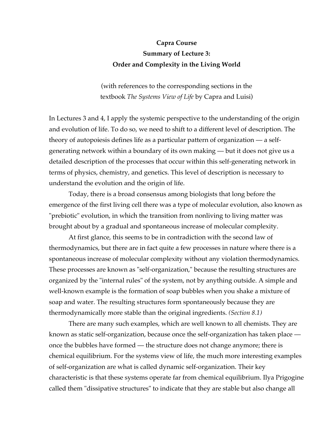## **Capra Course Summary of Lecture 3: Order and Complexity in the Living World**

(with references to the corresponding sections in the textbook *The Systems View of Life* by Capra and Luisi)

In Lectures 3 and 4, I apply the systemic perspective to the understanding of the origin and evolution of life. To do so, we need to shift to a different level of description. The theory of autopoiesis defines life as a particular pattern of organization — a selfgenerating network within a boundary of its own making — but it does not give us a detailed description of the processes that occur within this self-generating network in terms of physics, chemistry, and genetics. This level of description is necessary to understand the evolution and the origin of life.

Today, there is a broad consensus among biologists that long before the emergence of the first living cell there was a type of molecular evolution, also known as "prebiotic" evolution, in which the transition from nonliving to living matter was brought about by a gradual and spontaneous increase of molecular complexity.

At first glance, this seems to be in contradiction with the second law of thermodynamics, but there are in fact quite a few processes in nature where there is a spontaneous increase of molecular complexity without any violation thermodynamics. These processes are known as "self-organization," because the resulting structures are organized by the "internal rules" of the system, not by anything outside. A simple and well-known example is the formation of soap bubbles when you shake a mixture of soap and water. The resulting structures form spontaneously because they are thermodynamically more stable than the original ingredients. *(Section 8.1)*

There are many such examples, which are well known to all chemists. They are known as static self-organization, because once the self-organization has taken place once the bubbles have formed — the structure does not change anymore; there is chemical equilibrium. For the systems view of life, the much more interesting examples of self-organization are what is called dynamic self-organization. Their key characteristic is that these systems operate far from chemical equilibrium. Ilya Prigogine called them "dissipative structures" to indicate that they are stable but also change all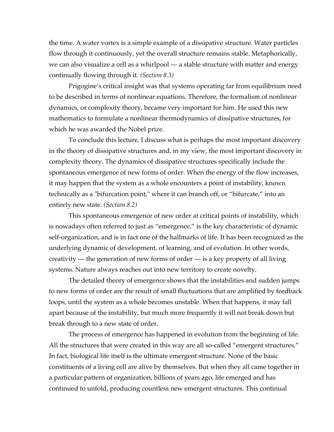the time. A water vortex is a simple example of a dissipative structure. Water particles flow through it continuously, yet the overall structure remains stable. Metaphorically, we can also visualize a cell as a whirlpool — a stable structure with matter and energy continually flowing through it. *(Section 8.3)*

Prigogine's critical insight was that systems operating far from equilibrium need to be described in terms of nonlinear equations. Therefore, the formalism of nonlinear dynamics, or complexity theory, became very important for him. He used this new mathematics to formulate a nonlinear thermodynamics of dissipative structures, for which he was awarded the Nobel prize.

To conclude this lecture, I discuss what is perhaps the most important discovery in the theory of dissipative structures and, in my view, the most important discovery in complexity theory. The dynamics of dissipative structures specifically include the spontaneous emergence of new forms of order. When the energy of the flow increases, it may happen that the system as a whole encounters a point of instability, known technically as a "bifurcation point," where it can branch off, or "bifurcate," into an entirely new state. *(Section 8.2)*

This spontaneous emergence of new order at critical points of instability, which is nowadays often referred to just as "emergence," is the key characteristic of dynamic self-organization, and is in fact one of the hallmarks of life. It has been recognized as the underlying dynamic of development, of learning, and of evolution. In other words, creativity — the generation of new forms of order — is a key property of all living systems. Nature always reaches out into new territory to create novelty.

The detailed theory of emergence shows that the instabilities and sudden jumps to new forms of order are the result of small fluctuations that are amplified by feedback loops, until the system as a whole becomes unstable. When that happens, it may fall apart because of the instability, but much more frequently it will not break down but break through to a new state of order.

The process of emergence has happened in evolution from the beginning of life. All the structures that were created in this way are all so-called "emergent structures." In fact, biological life itself is the ultimate emergent structure. None of the basic constituents of a living cell are alive by themselves. But when they all came together in a particular pattern of organization, billions of years ago, life emerged and has continued to unfold, producing countless new emergent structures. This continual